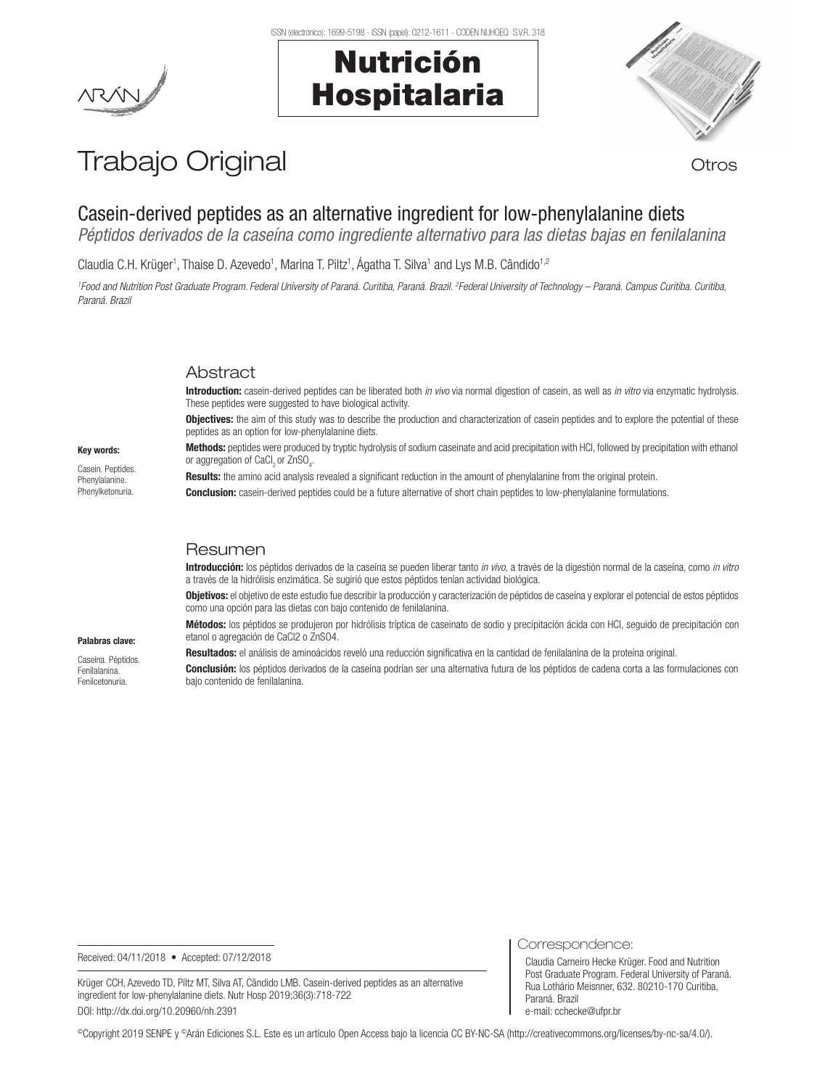#### ISSN (electrónico): 1699-5198 - ISSN (papel): 0212-1611 - CODEN NUHOEQ S.V.R. 318

# Nutrición Hospitalaria



## Trabajo Original **Trabajo Original**

## Casein-derived peptides as an alternative ingredient for low-phenylalanine diets

*Péptidos derivados de la caseína como ingrediente alternativo para las dietas bajas en fenilalanina*

Claudia C.H. Krüger<sup>1</sup>, Thaise D. Azevedo<sup>1</sup>, Marina T. Piltz<sup>1</sup>, Ágatha T. Silva<sup>1</sup> and Lys M.B. Cândido<sup>1,2</sup>

*1 Food and Nutrition Post Graduate Program. Federal University of Paraná. Curitiba, Paraná. Brazil. 2 Federal University of Technology – Paraná. Campus Curitiba. Curitiba, Paraná. Brazil*

## Abstract

Introduction: casein-derived peptides can be liberated both *in vivo* via normal digestion of casein, as well as *in vitro* via enzymatic hydrolysis. These peptides were suggested to have biological activity.

**Objectives:** the aim of this study was to describe the production and characterization of casein peptides and to explore the potential of these peptides as an option for low-phenylalanine diets.

Methods: peptides were produced by tryptic hydrolysis of sodium caseinate and acid precipitation with HCl, followed by precipitation with ethanol or aggregation of CaCl $_2$ or ZnSO $_4$ .

Results: the amino acid analysis revealed a significant reduction in the amount of phenylalanine from the original protein.

**Conclusion:** casein-derived peptides could be a future alternative of short chain peptides to low-phenylalanine formulations.

## Resumen

Introducción: los péptidos derivados de la caseína se pueden liberar tanto *in vivo,* a través de la digestión normal de la caseína, como *in vitro* a través de la hidrólisis enzimática. Se sugirió que estos péptidos tenían actividad biológica.

Objetivos: el objetivo de este estudio fue describir la producción y caracterización de péptidos de caseína y explorar el potencial de estos péptidos como una opción para las dietas con bajo contenido de fenilalanina.

Métodos: los péptidos se produjeron por hidrólisis tríptica de caseinato de sodio y precipitación ácida con HCl, seguido de precipitación con etanol o agregación de CaCl2 o ZnSO4.

Resultados: el análisis de aminoácidos reveló una reducción significativa en la cantidad de fenilalanina de la proteína original.

Conclusión: los péptidos derivados de la caseína podrían ser una alternativa futura de los péptidos de cadena corta a las formulaciones con bajo contenido de fenilalanina.

Received: 04/11/2018 • Accepted: 07/12/2018

Krüger CCH, Azevedo TD, Piltz MT, Silva AT, Cândido LMB. Casein-derived peptides as an alternative ingredient for low-phenylalanine diets. Nutr Hosp 2019;36(3):718-722 DOI: http://dx.doi.org/10.20960/nh.2391

Correspondence:

Claudia Carneiro Hecke Krüger. Food and Nutrition Post Graduate Program. Federal University of Paraná. Rua Lothário Meisnner, 632. 80210-170 Curitiba, Paraná. Brazil e-mail: cchecke@ufpr.br

©Copyright 2019 SENPE y ©Arán Ediciones S.L. Este es un artículo Open Access bajo la licencia CC BY-NC-SA (http://creativecommons.org/licenses/by-nc-sa/4.0/).

Key words:

Casein. Peptides. Phenylalanine. Phenylketonuria.

Palabras clave: Caseína. Péptidos. Fenilalanina. Fenilcetonuria.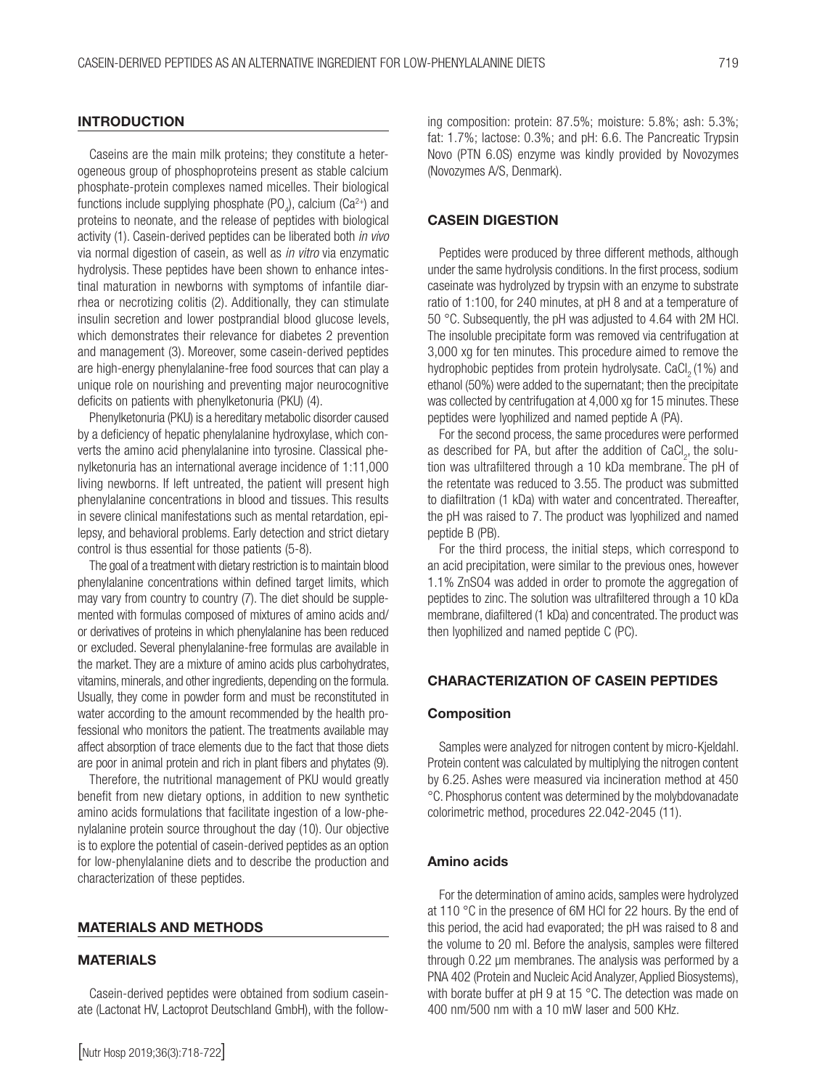## **INTRODUCTION**

Caseins are the main milk proteins; they constitute a heterogeneous group of phosphoproteins present as stable calcium phosphate-protein complexes named micelles. Their biological functions include supplying phosphate (PO<sub>4</sub>), calcium (Ca<sup>2+</sup>) and proteins to neonate, and the release of peptides with biological activity (1). Casein-derived peptides can be liberated both *in vivo* via normal digestion of casein, as well as *in vitro* via enzymatic hydrolysis. These peptides have been shown to enhance intestinal maturation in newborns with symptoms of infantile diarrhea or necrotizing colitis (2). Additionally, they can stimulate insulin secretion and lower postprandial blood glucose levels, which demonstrates their relevance for diabetes 2 prevention and management (3). Moreover, some casein-derived peptides are high-energy phenylalanine-free food sources that can play a unique role on nourishing and preventing major neurocognitive deficits on patients with phenylketonuria (PKU) (4).

Phenylketonuria (PKU) is a hereditary metabolic disorder caused by a deficiency of hepatic phenylalanine hydroxylase, which converts the amino acid phenylalanine into tyrosine. Classical phenylketonuria has an international average incidence of 1:11,000 living newborns. If left untreated, the patient will present high phenylalanine concentrations in blood and tissues. This results in severe clinical manifestations such as mental retardation, epilepsy, and behavioral problems. Early detection and strict dietary control is thus essential for those patients (5-8).

The goal of a treatment with dietary restriction is to maintain blood phenylalanine concentrations within defined target limits, which may vary from country to country (7). The diet should be supplemented with formulas composed of mixtures of amino acids and/ or derivatives of proteins in which phenylalanine has been reduced or excluded. Several phenylalanine-free formulas are available in the market. They are a mixture of amino acids plus carbohydrates, vitamins, minerals, and other ingredients, depending on the formula. Usually, they come in powder form and must be reconstituted in water according to the amount recommended by the health professional who monitors the patient. The treatments available may affect absorption of trace elements due to the fact that those diets are poor in animal protein and rich in plant fibers and phytates (9).

Therefore, the nutritional management of PKU would greatly benefit from new dietary options, in addition to new synthetic amino acids formulations that facilitate ingestion of a low-phenylalanine protein source throughout the day (10). Our objective is to explore the potential of casein-derived peptides as an option for low-phenylalanine diets and to describe the production and characterization of these peptides.

#### MATERIALS AND METHODS

#### MATERIALS

Casein-derived peptides were obtained from sodium caseinate (Lactonat HV, Lactoprot Deutschland GmbH), with the following composition: protein: 87.5%; moisture: 5.8%; ash: 5.3%; fat: 1.7%; lactose: 0.3%; and pH: 6.6. The Pancreatic Trypsin Novo (PTN 6.0S) enzyme was kindly provided by Novozymes (Novozymes A/S, Denmark).

### CASEIN DIGESTION

Peptides were produced by three different methods, although under the same hydrolysis conditions. In the first process, sodium caseinate was hydrolyzed by trypsin with an enzyme to substrate ratio of 1:100, for 240 minutes, at pH 8 and at a temperature of 50 °C. Subsequently, the pH was adjusted to 4.64 with 2M HCl. The insoluble precipitate form was removed via centrifugation at 3,000 xg for ten minutes. This procedure aimed to remove the hydrophobic peptides from protein hydrolysate. CaCl<sub>3</sub> (1%) and ethanol (50%) were added to the supernatant; then the precipitate was collected by centrifugation at 4,000 xg for 15 minutes. These peptides were lyophilized and named peptide A (PA).

For the second process, the same procedures were performed as described for PA, but after the addition of  $CaCl<sub>2</sub>$ , the solution was ultrafiltered through a 10 kDa membrane. The pH of the retentate was reduced to 3.55. The product was submitted to diafiltration (1 kDa) with water and concentrated. Thereafter, the pH was raised to 7. The product was lyophilized and named peptide B (PB).

For the third process, the initial steps, which correspond to an acid precipitation, were similar to the previous ones, however 1.1% ZnSO4 was added in order to promote the aggregation of peptides to zinc. The solution was ultrafiltered through a 10 kDa membrane, diafiltered (1 kDa) and concentrated. The product was then lyophilized and named peptide C (PC).

## CHARACTERIZATION OF CASEIN PEPTIDES

#### Composition

Samples were analyzed for nitrogen content by micro-Kjeldahl. Protein content was calculated by multiplying the nitrogen content by 6.25. Ashes were measured via incineration method at 450 °C. Phosphorus content was determined by the molybdovanadate colorimetric method, procedures 22.042-2045 (11).

#### Amino acids

For the determination of amino acids, samples were hydrolyzed at 110 °C in the presence of 6M HCl for 22 hours. By the end of this period, the acid had evaporated; the pH was raised to 8 and the volume to 20 ml. Before the analysis, samples were filtered through 0.22 μm membranes. The analysis was performed by a PNA 402 (Protein and Nucleic Acid Analyzer, Applied Biosystems), with borate buffer at pH 9 at 15 °C. The detection was made on 400 nm/500 nm with a 10 mW laser and 500 KHz.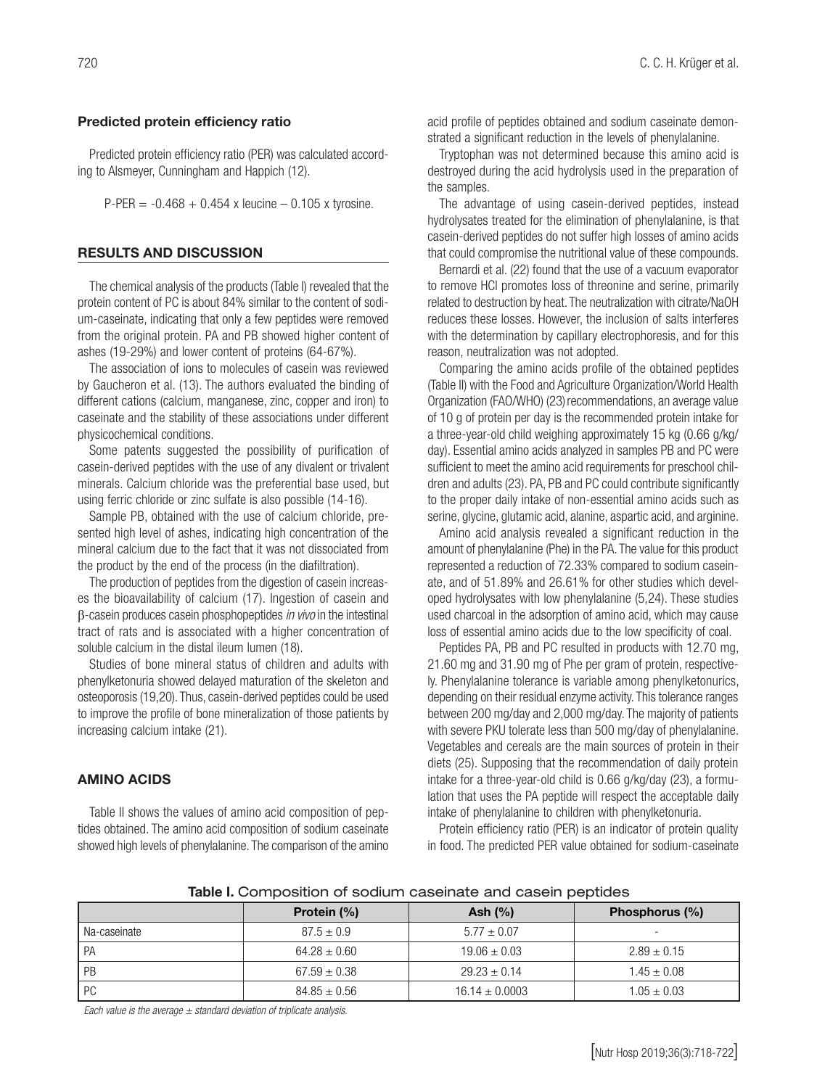#### Predicted protein efficiency ratio

Predicted protein efficiency ratio (PER) was calculated according to Alsmeyer, Cunningham and Happich (12).

 $P-PER = -0.468 + 0.454$  x leucine – 0.105 x tyrosine.

## RESULTS AND DISCUSSION

The chemical analysis of the products (Table I) revealed that the protein content of PC is about 84% similar to the content of sodium-caseinate, indicating that only a few peptides were removed from the original protein. PA and PB showed higher content of ashes (19-29%) and lower content of proteins (64-67%).

The association of ions to molecules of casein was reviewed by Gaucheron et al. (13). The authors evaluated the binding of different cations (calcium, manganese, zinc, copper and iron) to caseinate and the stability of these associations under different physicochemical conditions.

Some patents suggested the possibility of purification of casein-derived peptides with the use of any divalent or trivalent minerals. Calcium chloride was the preferential base used, but using ferric chloride or zinc sulfate is also possible (14-16).

Sample PB, obtained with the use of calcium chloride, presented high level of ashes, indicating high concentration of the mineral calcium due to the fact that it was not dissociated from the product by the end of the process (in the diafiltration).

The production of peptides from the digestion of casein increases the bioavailability of calcium (17). Ingestion of casein and β-casein produces casein phosphopeptides *in vivo* in the intestinal tract of rats and is associated with a higher concentration of soluble calcium in the distal ileum lumen (18).

Studies of bone mineral status of children and adults with phenylketonuria showed delayed maturation of the skeleton and osteoporosis (19,20). Thus, casein-derived peptides could be used to improve the profile of bone mineralization of those patients by increasing calcium intake (21).

## AMINO ACIDS

Table II shows the values of amino acid composition of peptides obtained. The amino acid composition of sodium caseinate showed high levels of phenylalanine. The comparison of the amino acid profile of peptides obtained and sodium caseinate demonstrated a significant reduction in the levels of phenylalanine.

Tryptophan was not determined because this amino acid is destroyed during the acid hydrolysis used in the preparation of the samples.

The advantage of using casein-derived peptides, instead hydrolysates treated for the elimination of phenylalanine, is that casein-derived peptides do not suffer high losses of amino acids that could compromise the nutritional value of these compounds.

Bernardi et al. (22) found that the use of a vacuum evaporator to remove HCl promotes loss of threonine and serine, primarily related to destruction by heat. The neutralization with citrate/NaOH reduces these losses. However, the inclusion of salts interferes with the determination by capillary electrophoresis, and for this reason, neutralization was not adopted.

Comparing the amino acids profile of the obtained peptides (Table II) with the Food and Agriculture Organization/World Health Organization (FAO/WHO) (23) recommendations, an average value of 10 g of protein per day is the recommended protein intake for a three-year-old child weighing approximately 15 kg (0.66 g/kg/ day). Essential amino acids analyzed in samples PB and PC were sufficient to meet the amino acid requirements for preschool children and adults (23). PA, PB and PC could contribute significantly to the proper daily intake of non-essential amino acids such as serine, glycine, glutamic acid, alanine, aspartic acid, and arginine.

Amino acid analysis revealed a significant reduction in the amount of phenylalanine (Phe) in the PA. The value for this product represented a reduction of 72.33% compared to sodium caseinate, and of 51.89% and 26.61% for other studies which developed hydrolysates with low phenylalanine (5,24). These studies used charcoal in the adsorption of amino acid, which may cause loss of essential amino acids due to the low specificity of coal.

Peptides PA, PB and PC resulted in products with 12.70 mg, 21.60 mg and 31.90 mg of Phe per gram of protein, respectively. Phenylalanine tolerance is variable among phenylketonurics, depending on their residual enzyme activity. This tolerance ranges between 200 mg/day and 2,000 mg/day. The majority of patients with severe PKU tolerate less than 500 mg/day of phenylalanine. Vegetables and cereals are the main sources of protein in their diets (25). Supposing that the recommendation of daily protein intake for a three-year-old child is 0.66 g/kg/day (23), a formulation that uses the PA peptide will respect the acceptable daily intake of phenylalanine to children with phenylketonuria.

Protein efficiency ratio (PER) is an indicator of protein quality in food. The predicted PER value obtained for sodium-caseinate

Table I. Composition of sodium caseinate and casein peptides

|              | Protein (%)      | Ash $(\%)$         | Phosphorus (%)           |
|--------------|------------------|--------------------|--------------------------|
| Na-caseinate | $87.5 \pm 0.9$   | $5.77 \pm 0.07$    | $\overline{\phantom{0}}$ |
| PA           | $64.28 \pm 0.60$ | $19.06 \pm 0.03$   | $2.89 \pm 0.15$          |
| PB           | $67.59 \pm 0.38$ | $29.23 \pm 0.14$   | $1.45 \pm 0.08$          |
| <b>PC</b>    | $84.85 \pm 0.56$ | $16.14 \pm 0.0003$ | $1.05 \pm 0.03$          |

*Each value is the average ± standard deviation of triplicate analysis.*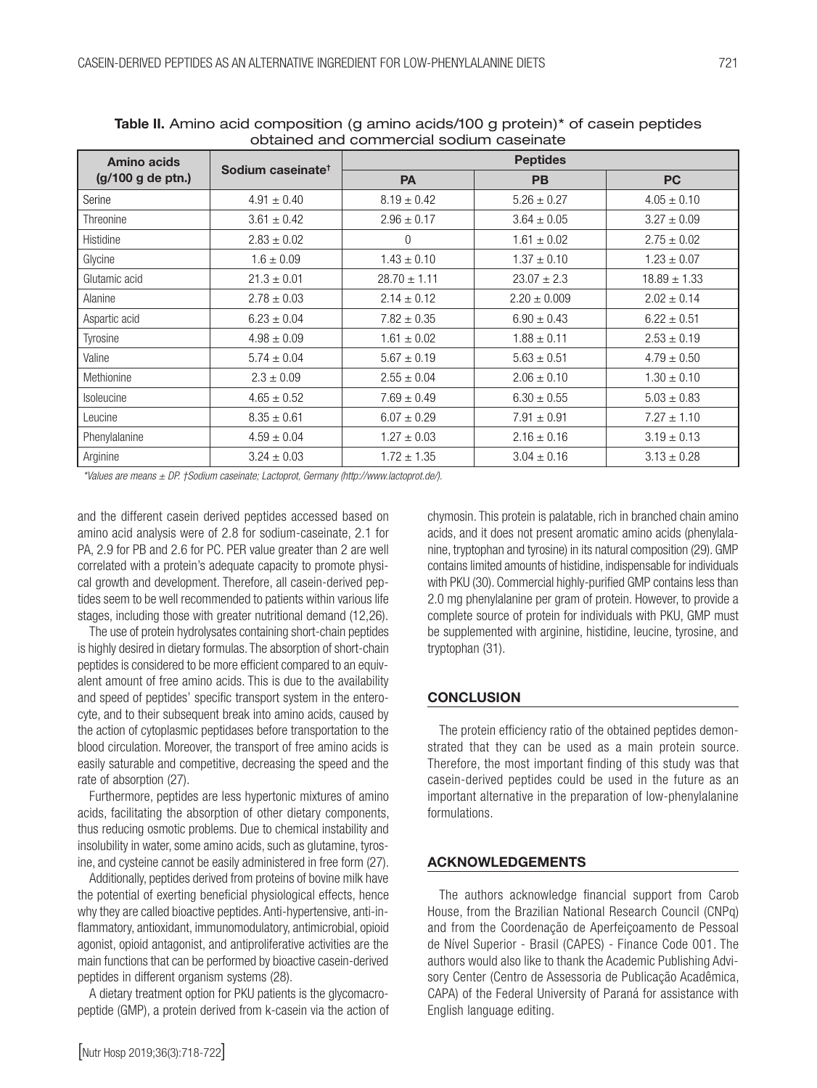| Amino acids<br>(g/100 g de ptn.) | Sodium caseinate <sup>t</sup> | <b>Peptides</b>  |                  |                  |  |  |
|----------------------------------|-------------------------------|------------------|------------------|------------------|--|--|
|                                  |                               | <b>PA</b>        | <b>PB</b>        | <b>PC</b>        |  |  |
| Serine                           | $4.91 \pm 0.40$               | $8.19 \pm 0.42$  | $5.26 \pm 0.27$  | $4.05 \pm 0.10$  |  |  |
| Threonine                        | $3.61 \pm 0.42$               | $2.96 \pm 0.17$  | $3.64 \pm 0.05$  | $3.27 \pm 0.09$  |  |  |
| Histidine                        | $2.83 \pm 0.02$               | 0                | $1.61 \pm 0.02$  | $2.75 \pm 0.02$  |  |  |
| Glycine                          | $1.6 \pm 0.09$                | $1.43 \pm 0.10$  | $1.37 \pm 0.10$  | $1.23 \pm 0.07$  |  |  |
| Glutamic acid                    | $21.3 \pm 0.01$               | $28.70 \pm 1.11$ | $23.07 \pm 2.3$  | $18.89 \pm 1.33$ |  |  |
| Alanine                          | $2.78 \pm 0.03$               | $2.14 \pm 0.12$  | $2.20 \pm 0.009$ | $2.02 \pm 0.14$  |  |  |
| Aspartic acid                    | $6.23 \pm 0.04$               | $7.82 \pm 0.35$  | $6.90 \pm 0.43$  | $6.22 \pm 0.51$  |  |  |
| Tyrosine                         | $4.98 \pm 0.09$               | $1.61 \pm 0.02$  | $1.88 \pm 0.11$  | $2.53 \pm 0.19$  |  |  |
| Valine                           | $5.74 \pm 0.04$               | $5.67 \pm 0.19$  | $5.63 \pm 0.51$  | $4.79 \pm 0.50$  |  |  |
| Methionine                       | $2.3 \pm 0.09$                | $2.55 \pm 0.04$  | $2.06 \pm 0.10$  | $1.30 \pm 0.10$  |  |  |
| Isoleucine                       | $4.65 \pm 0.52$               | $7.69 \pm 0.49$  | $6.30 \pm 0.55$  | $5.03 \pm 0.83$  |  |  |
| Leucine                          | $8.35 \pm 0.61$               | $6.07 \pm 0.29$  | $7.91 \pm 0.91$  | $7.27 \pm 1.10$  |  |  |
| Phenylalanine                    | $4.59 \pm 0.04$               | $1.27 \pm 0.03$  | $2.16 \pm 0.16$  | $3.19 \pm 0.13$  |  |  |
| Arginine                         | $3.24 \pm 0.03$               | $1.72 \pm 1.35$  | $3.04 \pm 0.16$  | $3.13 \pm 0.28$  |  |  |

Table II. Amino acid composition (g amino acids/100 g protein)\* of casein peptides obtained and commercial sodium caseinate

*\*Values are means ± DP. †Sodium caseinate; Lactoprot, Germany (http://www.lactoprot.de/).*

and the different casein derived peptides accessed based on amino acid analysis were of 2.8 for sodium-caseinate, 2.1 for PA, 2.9 for PB and 2.6 for PC. PER value greater than 2 are well correlated with a protein's adequate capacity to promote physical growth and development. Therefore, all casein-derived peptides seem to be well recommended to patients within various life stages, including those with greater nutritional demand (12,26).

The use of protein hydrolysates containing short-chain peptides is highly desired in dietary formulas. The absorption of short-chain peptides is considered to be more efficient compared to an equivalent amount of free amino acids. This is due to the availability and speed of peptides' specific transport system in the enterocyte, and to their subsequent break into amino acids, caused by the action of cytoplasmic peptidases before transportation to the blood circulation. Moreover, the transport of free amino acids is easily saturable and competitive, decreasing the speed and the rate of absorption (27).

Furthermore, peptides are less hypertonic mixtures of amino acids, facilitating the absorption of other dietary components, thus reducing osmotic problems. Due to chemical instability and insolubility in water, some amino acids, such as glutamine, tyrosine, and cysteine cannot be easily administered in free form (27).

Additionally, peptides derived from proteins of bovine milk have the potential of exerting beneficial physiological effects, hence why they are called bioactive peptides. Anti-hypertensive, anti-inflammatory, antioxidant, immunomodulatory, antimicrobial, opioid agonist, opioid antagonist, and antiproliferative activities are the main functions that can be performed by bioactive casein-derived peptides in different organism systems (28).

A dietary treatment option for PKU patients is the glycomacropeptide (GMP), a protein derived from k-casein via the action of chymosin. This protein is palatable, rich in branched chain amino acids, and it does not present aromatic amino acids (phenylalanine, tryptophan and tyrosine) in its natural composition (29). GMP contains limited amounts of histidine, indispensable for individuals with PKU (30). Commercial highly-purified GMP contains less than 2.0 mg phenylalanine per gram of protein. However, to provide a complete source of protein for individuals with PKU, GMP must be supplemented with arginine, histidine, leucine, tyrosine, and tryptophan (31).

## **CONCLUSION**

The protein efficiency ratio of the obtained peptides demonstrated that they can be used as a main protein source. Therefore, the most important finding of this study was that casein-derived peptides could be used in the future as an important alternative in the preparation of low-phenylalanine formulations.

### ACKNOWLEDGEMENTS

The authors acknowledge financial support from Carob House, from the Brazilian National Research Council (CNPq) and from the Coordenação de Aperfeiçoamento de Pessoal de Nível Superior - Brasil (CAPES) - Finance Code 001. The authors would also like to thank the Academic Publishing Advisory Center (Centro de Assessoria de Publicação Acadêmica, CAPA) of the Federal University of Paraná for assistance with English language editing.